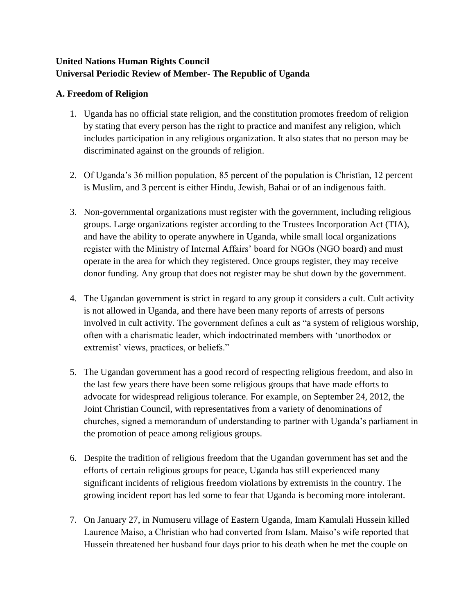# **United Nations Human Rights Council Universal Periodic Review of Member- The Republic of Uganda**

### **A. Freedom of Religion**

- 1. Uganda has no official state religion, and the constitution promotes freedom of religion by stating that every person has the right to practice and manifest any religion, which includes participation in any religious organization. It also states that no person may be discriminated against on the grounds of religion.
- 2. Of Uganda's 36 million population, 85 percent of the population is Christian, 12 percent is Muslim, and 3 percent is either Hindu, Jewish, Bahai or of an indigenous faith.
- 3. Non-governmental organizations must register with the government, including religious groups. Large organizations register according to the Trustees Incorporation Act (TIA), and have the ability to operate anywhere in Uganda, while small local organizations register with the Ministry of Internal Affairs' board for NGOs (NGO board) and must operate in the area for which they registered. Once groups register, they may receive donor funding. Any group that does not register may be shut down by the government.
- 4. The Ugandan government is strict in regard to any group it considers a cult. Cult activity is not allowed in Uganda, and there have been many reports of arrests of persons involved in cult activity. The government defines a cult as "a system of religious worship, often with a charismatic leader, which indoctrinated members with 'unorthodox or extremist' views, practices, or beliefs."
- 5. The Ugandan government has a good record of respecting religious freedom, and also in the last few years there have been some religious groups that have made efforts to advocate for widespread religious tolerance. For example, on September 24, 2012, the Joint Christian Council, with representatives from a variety of denominations of churches, signed a memorandum of understanding to partner with Uganda's parliament in the promotion of peace among religious groups.
- 6. Despite the tradition of religious freedom that the Ugandan government has set and the efforts of certain religious groups for peace, Uganda has still experienced many significant incidents of religious freedom violations by extremists in the country. The growing incident report has led some to fear that Uganda is becoming more intolerant.
- 7. On January 27, in Numuseru village of Eastern Uganda, Imam Kamulali Hussein killed Laurence Maiso, a Christian who had converted from Islam. Maiso's wife reported that Hussein threatened her husband four days prior to his death when he met the couple on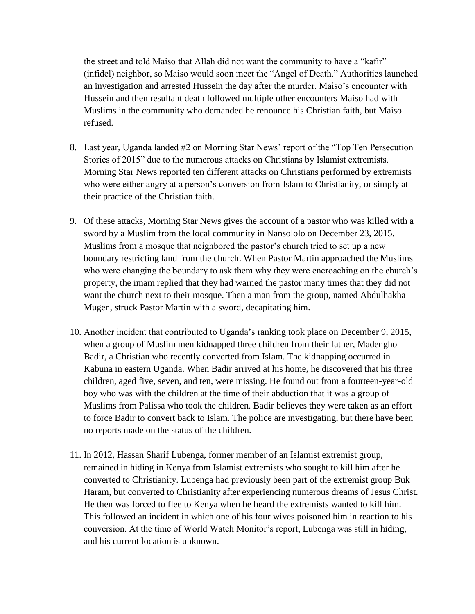the street and told Maiso that Allah did not want the community to have a "kafir" (infidel) neighbor, so Maiso would soon meet the "Angel of Death." Authorities launched an investigation and arrested Hussein the day after the murder. Maiso's encounter with Hussein and then resultant death followed multiple other encounters Maiso had with Muslims in the community who demanded he renounce his Christian faith, but Maiso refused.

- 8. Last year, Uganda landed #2 on Morning Star News' report of the "Top Ten Persecution Stories of 2015" due to the numerous attacks on Christians by Islamist extremists. Morning Star News reported ten different attacks on Christians performed by extremists who were either angry at a person's conversion from Islam to Christianity, or simply at their practice of the Christian faith.
- 9. Of these attacks, Morning Star News gives the account of a pastor who was killed with a sword by a Muslim from the local community in Nansololo on December 23, 2015. Muslims from a mosque that neighbored the pastor's church tried to set up a new boundary restricting land from the church. When Pastor Martin approached the Muslims who were changing the boundary to ask them why they were encroaching on the church's property, the imam replied that they had warned the pastor many times that they did not want the church next to their mosque. Then a man from the group, named Abdulhakha Mugen, struck Pastor Martin with a sword, decapitating him.
- 10. Another incident that contributed to Uganda's ranking took place on December 9, 2015, when a group of Muslim men kidnapped three children from their father, Madengho Badir, a Christian who recently converted from Islam. The kidnapping occurred in Kabuna in eastern Uganda. When Badir arrived at his home, he discovered that his three children, aged five, seven, and ten, were missing. He found out from a fourteen-year-old boy who was with the children at the time of their abduction that it was a group of Muslims from Palissa who took the children. Badir believes they were taken as an effort to force Badir to convert back to Islam. The police are investigating, but there have been no reports made on the status of the children.
- 11. In 2012, Hassan Sharif Lubenga, former member of an Islamist extremist group, remained in hiding in Kenya from Islamist extremists who sought to kill him after he converted to Christianity. Lubenga had previously been part of the extremist group Buk Haram, but converted to Christianity after experiencing numerous dreams of Jesus Christ. He then was forced to flee to Kenya when he heard the extremists wanted to kill him. This followed an incident in which one of his four wives poisoned him in reaction to his conversion. At the time of World Watch Monitor's report, Lubenga was still in hiding, and his current location is unknown.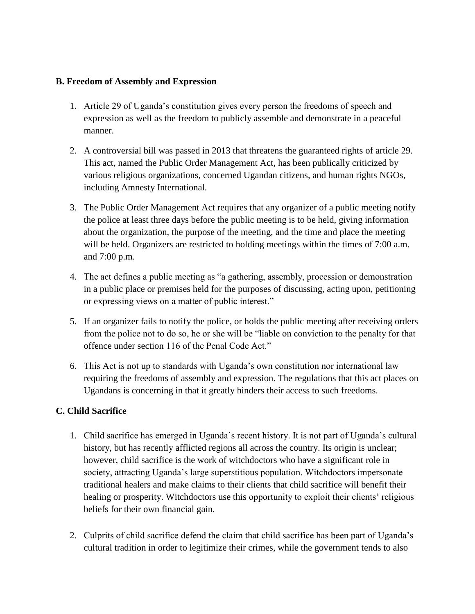### **B. Freedom of Assembly and Expression**

- 1. Article 29 of Uganda's constitution gives every person the freedoms of speech and expression as well as the freedom to publicly assemble and demonstrate in a peaceful manner.
- 2. A controversial bill was passed in 2013 that threatens the guaranteed rights of article 29. This act, named the Public Order Management Act, has been publically criticized by various religious organizations, concerned Ugandan citizens, and human rights NGOs, including Amnesty International.
- 3. The Public Order Management Act requires that any organizer of a public meeting notify the police at least three days before the public meeting is to be held, giving information about the organization, the purpose of the meeting, and the time and place the meeting will be held. Organizers are restricted to holding meetings within the times of 7:00 a.m. and 7:00 p.m.
- 4. The act defines a public meeting as "a gathering, assembly, procession or demonstration in a public place or premises held for the purposes of discussing, acting upon, petitioning or expressing views on a matter of public interest."
- 5. If an organizer fails to notify the police, or holds the public meeting after receiving orders from the police not to do so, he or she will be "liable on conviction to the penalty for that offence under section 116 of the Penal Code Act."
- 6. This Act is not up to standards with Uganda's own constitution nor international law requiring the freedoms of assembly and expression. The regulations that this act places on Ugandans is concerning in that it greatly hinders their access to such freedoms.

## **C. Child Sacrifice**

- 1. Child sacrifice has emerged in Uganda's recent history. It is not part of Uganda's cultural history, but has recently afflicted regions all across the country. Its origin is unclear; however, child sacrifice is the work of witchdoctors who have a significant role in society, attracting Uganda's large superstitious population. Witchdoctors impersonate traditional healers and make claims to their clients that child sacrifice will benefit their healing or prosperity. Witchdoctors use this opportunity to exploit their clients' religious beliefs for their own financial gain.
- 2. Culprits of child sacrifice defend the claim that child sacrifice has been part of Uganda's cultural tradition in order to legitimize their crimes, while the government tends to also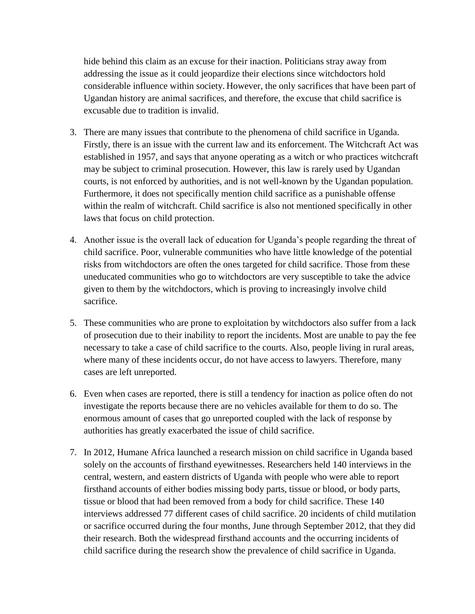hide behind this claim as an excuse for their inaction. Politicians stray away from addressing the issue as it could jeopardize their elections since witchdoctors hold considerable influence within society. However, the only sacrifices that have been part of Ugandan history are animal sacrifices, and therefore, the excuse that child sacrifice is excusable due to tradition is invalid.

- 3. There are many issues that contribute to the phenomena of child sacrifice in Uganda. Firstly, there is an issue with the current law and its enforcement. The Witchcraft Act was established in 1957, and says that anyone operating as a witch or who practices witchcraft may be subject to criminal prosecution. However, this law is rarely used by Ugandan courts, is not enforced by authorities, and is not well-known by the Ugandan population. Furthermore, it does not specifically mention child sacrifice as a punishable offense within the realm of witchcraft. Child sacrifice is also not mentioned specifically in other laws that focus on child protection.
- 4. Another issue is the overall lack of education for Uganda's people regarding the threat of child sacrifice. Poor, vulnerable communities who have little knowledge of the potential risks from witchdoctors are often the ones targeted for child sacrifice. Those from these uneducated communities who go to witchdoctors are very susceptible to take the advice given to them by the witchdoctors, which is proving to increasingly involve child sacrifice.
- 5. These communities who are prone to exploitation by witchdoctors also suffer from a lack of prosecution due to their inability to report the incidents. Most are unable to pay the fee necessary to take a case of child sacrifice to the courts. Also, people living in rural areas, where many of these incidents occur, do not have access to lawyers. Therefore, many cases are left unreported.
- 6. Even when cases are reported, there is still a tendency for inaction as police often do not investigate the reports because there are no vehicles available for them to do so. The enormous amount of cases that go unreported coupled with the lack of response by authorities has greatly exacerbated the issue of child sacrifice.
- 7. In 2012, Humane Africa launched a research mission on child sacrifice in Uganda based solely on the accounts of firsthand eyewitnesses. Researchers held 140 interviews in the central, western, and eastern districts of Uganda with people who were able to report firsthand accounts of either bodies missing body parts, tissue or blood, or body parts, tissue or blood that had been removed from a body for child sacrifice. These 140 interviews addressed 77 different cases of child sacrifice. 20 incidents of child mutilation or sacrifice occurred during the four months, June through September 2012, that they did their research. Both the widespread firsthand accounts and the occurring incidents of child sacrifice during the research show the prevalence of child sacrifice in Uganda.